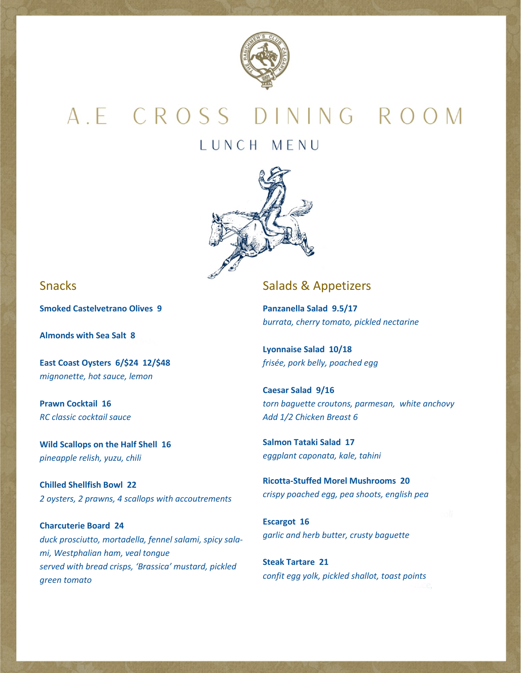

A.E CROSS DINING ROOM LUNCH MENU



**Smoked Castelvetrano Olives 9**

**Almonds with Sea Salt 8**

**East Coast Oysters 6/\$24 12/\$48** *mignonette, hot sauce, lemon*

**Prawn Cocktail 16** *RC classic cocktail sauce*

**Wild Scallops on the Half Shell 16** *pineapple relish, yuzu, chili*

**Chilled Shellfish Bowl 22** *2 oysters, 2 prawns, 4 scallops with accoutrements*

**Charcuterie Board 24** *duck prosciutto, mortadella, fennel salami, spicy salami, Westphalian ham, veal tongue served with bread crisps, 'Brassica' mustard, pickled green tomato*

## **Snacks** Snacks Salads & Appetizers

**Panzanella Salad 9.5/17** *burrata, cherry tomato, pickled nectarine*

**Lyonnaise Salad 10/18** *frisée, pork belly, poached egg*

**Caesar Salad 9/16** *torn baguette croutons, parmesan, white anchovy Add 1/2 Chicken Breast 6*

**Salmon Tataki Salad 17** *eggplant caponata, kale, tahini*

**Ricotta-Stuffed Morel Mushrooms 20** *crispy poached egg, pea shoots, english pea*

**Escargot 16** *garlic and herb butter, crusty baguette*

**Steak Tartare 21** *confit egg yolk, pickled shallot, toast points*